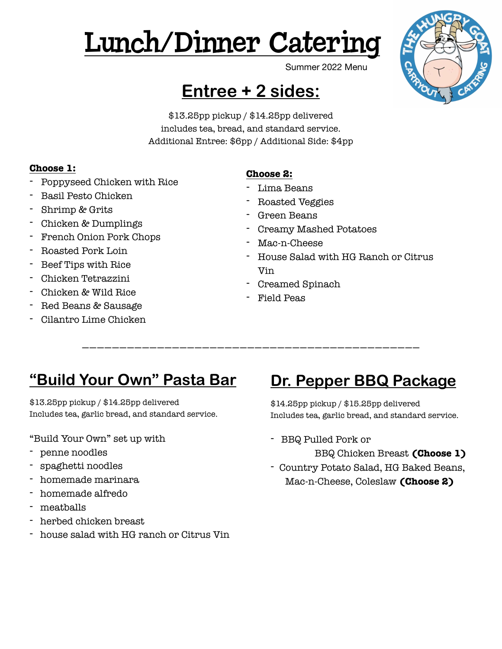# Lunch/Dinner Catering



Summer 2022 Menu

## **Entree + 2 sides:**

\$13.25pp pickup / \$14.25pp delivered includes tea, bread, and standard service. Additional Entree: \$6pp / Additional Side: \$4pp

#### **Choose 1:**

- Poppyseed Chicken with Rice
- Basil Pesto Chicken
- Shrimp & Grits
- Chicken & Dumplings
- French Onion Pork Chops
- Roasted Pork Loin
- Beef Tips with Rice
- Chicken Tetrazzini
- Chicken & Wild Rice
- Red Beans & Sausage
- Cilantro Lime Chicken

#### **Choose 2:**

- Lima Beans
- Roasted Veggies
- Green Beans
- Creamy Mashed Potatoes
- Mac-n-Cheese
- House Salad with HG Ranch or Citrus Vin
- Creamed Spinach
- Field Peas

—————————————————————————————————————————————

### **"Build Your Own" Pasta Bar**

\$13.25pp pickup / \$14.25pp delivered Includes tea, garlic bread, and standard service.

#### "Build Your Own" set up with

- penne noodles
- spaghetti noodles
- homemade marinara
- homemade alfredo
- meatballs
- herbed chicken breast
- house salad with HG ranch or Citrus Vin

### **Dr. Pepper BBQ Package**

\$14.25pp pickup / \$15.25pp delivered Includes tea, garlic bread, and standard service.

- BBQ Pulled Pork or
	- BBQ Chicken Breast **(Choose 1)**
- Country Potato Salad, HG Baked Beans, Mac-n-Cheese, Coleslaw **(Choose 2)**